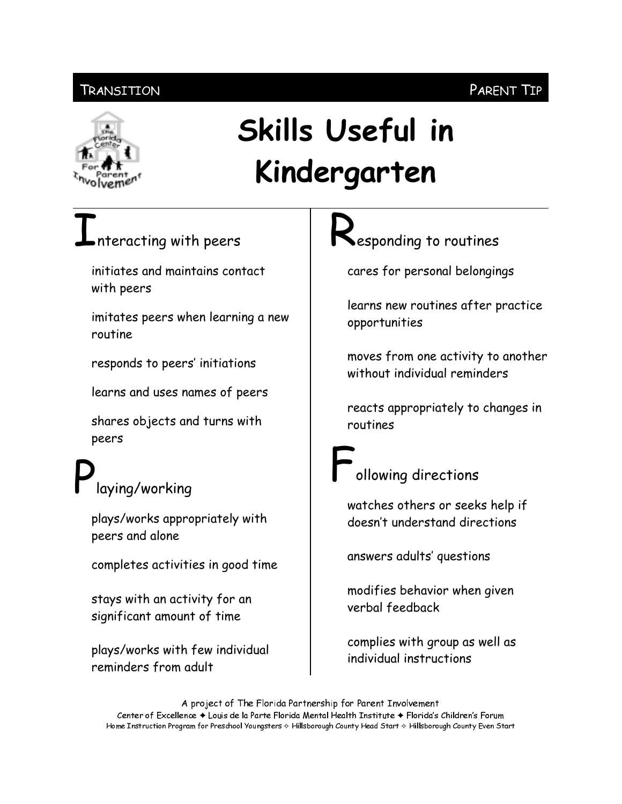### Transition

## Skills Useful in Kindergarten

# nteracting with peers

initiates and maintains contact with peers

imitates peers when learning a new routine

responds to peers' initiations

learns and uses names of peers

shares objects and turns with peers

## laying/working

plays/works appropriately with peers and alone

completes activities in good time

stays with an activity for an significant amount of time

plays/works with few individual reminders from adult

esponding to routines

cares for personal belongings

learns new routines after practice opportunities

moves from one activity to another without individual reminders

reacts appropriately to changes in routines

### ollowing directions

watches others or seeks help if doesn't understand directions

answers adults' questions

modifies behavior when given verbal feedback

complies with group as well as individual instructions

A project of The Florida Partnership for Parent Involvement Center of Excellence ♦ Louis de la Parte Florida Mental Health Institute ♦ Florida's Children's Forum Home Instruction Program for Preschool Youngsters & Hillsborough County Head Start & Hillsborough County Even Start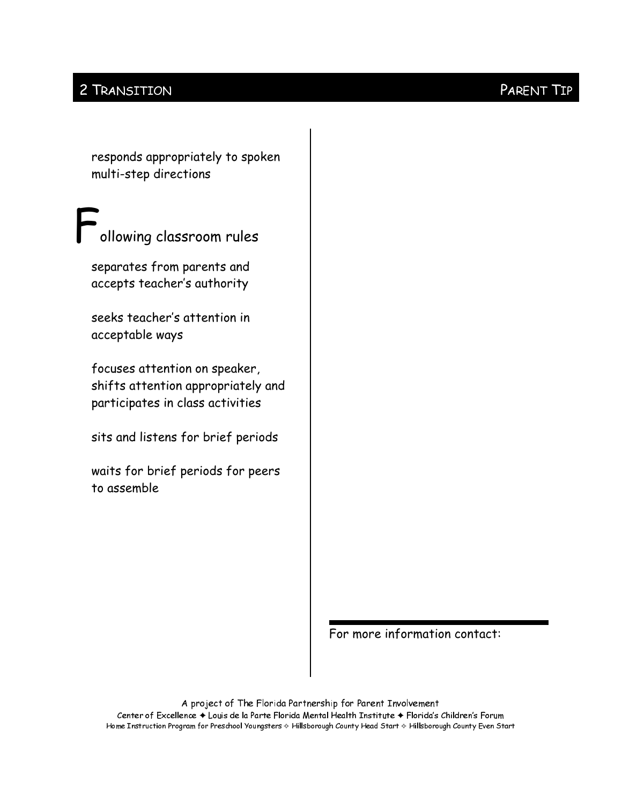### 2 TRANSITION

responds appropriately to spoken multi-step directions

ollowing classroom rules

separates from parents and accepts teacher's authority

seeks teacher's attention in acceptable ways

focuses attention on speaker, shifts attention appropriately and participates in class activities

sits and listens for brief periods

waits for brief periods for peers to assemble

For more information contact:

A project of The Florida Partnership for Parent Involvement Center of Excellence + Louis de la Parte Florida Mental Health Institute + Florida's Children's Forum Home Instruction Program for Preschool Youngsters & Hillsborough County Head Start & Hillsborough County Even Start